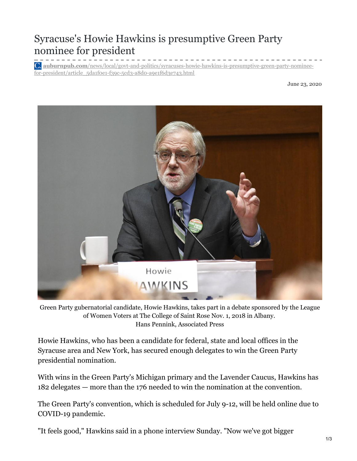## Syracuse's Howie Hawkins is presumptive Green Party nominee for president

**auburnpub.com**[/news/local/govt-and-politics/syracuses-howie-hawkins-is-presumptive-green-party-nominee](https://auburnpub.com/news/local/govt-and-politics/syracuses-howie-hawkins-is-presumptive-green-party-nominee-for-president/article_5da1f0e1-f39c-5cd3-a8d0-a9e1f6d3e743.html)for-president/article\_5da1f0e1-f39c-5cd3-a8d0-a9e1f6d3e743.html

June 23, 2020



Green Party gubernatorial candidate, Howie Hawkins, takes part in a debate sponsored by the League of Women Voters at The College of Saint Rose Nov. 1, 2018 in Albany. Hans Pennink, Associated Press

Howie Hawkins, who has been a candidate for federal, state and local offices in the Syracuse area and New York, has secured enough delegates to win the Green Party presidential nomination.

With wins in the Green Party's Michigan primary and the Lavender Caucus, Hawkins has 182 delegates — more than the 176 needed to win the nomination at the convention.

The Green Party's convention, which is scheduled for July 9-12, will be held online due to COVID-19 pandemic.

"It feels good," Hawkins said in a phone interview Sunday. "Now we've got bigger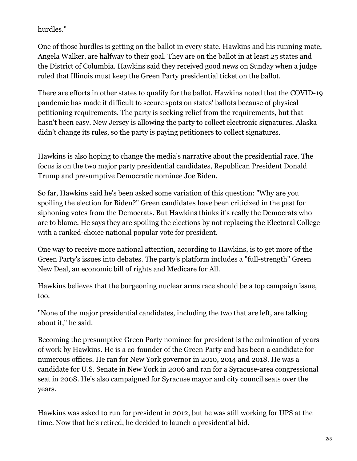hurdles."

One of those hurdles is getting on the ballot in every state. Hawkins and his running mate, Angela Walker, are halfway to their goal. They are on the ballot in at least 25 states and the District of Columbia. Hawkins said they received good news on Sunday when a judge ruled that Illinois must keep the Green Party presidential ticket on the ballot.

There are efforts in other states to qualify for the ballot. Hawkins noted that the COVID-19 pandemic has made it difficult to secure spots on states' ballots because of physical petitioning requirements. The party is seeking relief from the requirements, but that hasn't been easy. New Jersey is allowing the party to collect electronic signatures. Alaska didn't change its rules, so the party is paying petitioners to collect signatures.

Hawkins is also hoping to change the media's narrative about the presidential race. The focus is on the two major party presidential candidates, Republican President Donald Trump and presumptive Democratic nominee Joe Biden.

So far, Hawkins said he's been asked some variation of this question: "Why are you spoiling the election for Biden?" Green candidates have been criticized in the past for siphoning votes from the Democrats. But Hawkins thinks it's really the Democrats who are to blame. He says they are spoiling the elections by not replacing the Electoral College with a ranked-choice national popular vote for president.

One way to receive more national attention, according to Hawkins, is to get more of the Green Party's issues into debates. The party's platform includes a "full-strength" Green New Deal, an economic bill of rights and Medicare for All.

Hawkins believes that the burgeoning nuclear arms race should be a top campaign issue, too.

"None of the major presidential candidates, including the two that are left, are talking about it," he said.

Becoming the presumptive Green Party nominee for president is the culmination of years of work by Hawkins. He is a co-founder of the Green Party and has been a candidate for numerous offices. He ran for New York governor in 2010, 2014 and 2018. He was a candidate for U.S. Senate in New York in 2006 and ran for a Syracuse-area congressional seat in 2008. He's also campaigned for Syracuse mayor and city council seats over the years.

Hawkins was asked to run for president in 2012, but he was still working for UPS at the time. Now that he's retired, he decided to launch a presidential bid.